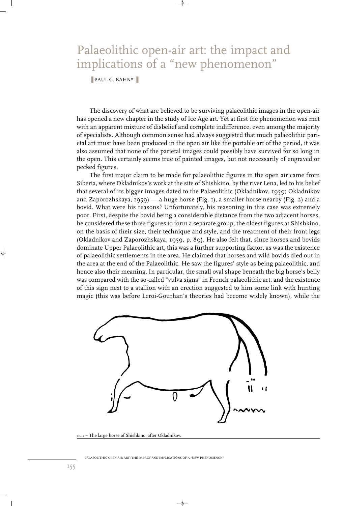## Palaeolithic open-air art: the impact and implications of a "new phenomenon"

## ■ PAUL G. BAHN\*

The discovery of what are believed to be surviving palaeolithic images in the open-air has opened a new chapter in the study of Ice Age art. Yet at first the phenomenon was met with an apparent mixture of disbelief and complete indifference, even among the majority of specialists. Although common sense had always suggested that much palaeolithic parietal art must have been produced in the open air like the portable art of the period, it was also assumed that none of the parietal images could possibly have survived for so long in the open. This certainly seems true of painted images, but not necessarily of engraved or pecked figures.

The first major claim to be made for palaeolithic figures in the open air came from Siberia, where Okladnikov's work at the site of Shishkino, by the river Lena, led to his belief that several of its bigger images dated to the Palaeolithic (Okladnikov, 1959; Okladnikov and Zaporozhskaya, 1959) — a huge horse (Fig. 1), a smaller horse nearby (Fig. 2) and a bovid. What were his reasons? Unfortunately, his reasoning in this case was extremely poor. First, despite the bovid being a considerable distance from the two adjacent horses, he considered these three figures to form a separate group, the oldest figures at Shishkino, on the basis of their size, their technique and style, and the treatment of their front legs (Okladnikov and Zaporozhskaya, 1959, p. 89). He also felt that, since horses and bovids dominate Upper Palaeolithic art, this was a further supporting factor, as was the existence of palaeolithic settlements in the area. He claimed that horses and wild bovids died out in the area at the end of the Palaeolithic. He saw the figures' style as being palaeolithic, and hence also their meaning. In particular, the small oval shape beneath the big horse's belly was compared with the so-called "vulva signs" in French palaeolithic art, and the existence of this sign next to a stallion with an erection suggested to him some link with hunting magic (this was before Leroi-Gourhan's theories had become widely known), while the



- ⊕

FIG. 1 – The large horse of Shishkino, after Okladnikov.

PALAEOLITHIC OPEN-AIR ART: THE IMPACT AND IMPLICATIONS OF A "NEW PHENOMENON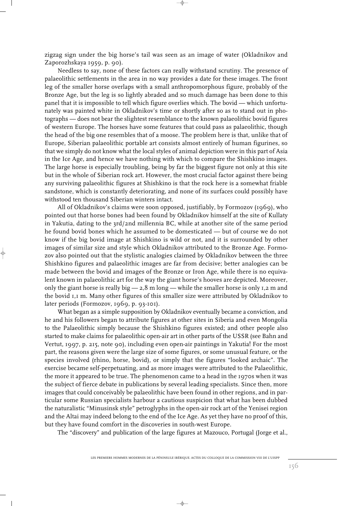zigzag sign under the big horse's tail was seen as an image of water (Okladnikov and Zaporozhskaya 1959, p. 90).

Needless to say, none of these factors can really withstand scrutiny. The presence of palaeolithic settlements in the area in no way provides a date for these images. The front leg of the smaller horse overlaps with a small anthropomorphous figure, probably of the Bronze Age, but the leg is so lightly abraded and so much damage has been done to this panel that it is impossible to tell which figure overlies which. The bovid — which unfortunately was painted white in Okladnikov's time or shortly after so as to stand out in photographs — does not bear the slightest resemblance to the known palaeolithic bovid figures of western Europe. The horses have some features that could pass as palaeolithic, though the head of the big one resembles that of a moose. The problem here is that, unlike that of Europe, Siberian palaeolithic portable art consists almost entirely of human figurines, so that we simply do not know what the local styles of animal depiction were in this part of Asia in the Ice Age, and hence we have nothing with which to compare the Shishkino images. The large horse is especially troubling, being by far the biggest figure not only at this site but in the whole of Siberian rock art. However, the most crucial factor against there being any surviving palaeolithic figures at Shishkino is that the rock here is a somewhat friable sandstone, which is constantly deteriorating, and none of its surfaces could possibly have withstood ten thousand Siberian winters intact.

All of Okladnikov's claims were soon opposed, justifiably, by Formozov (1969), who pointed out that horse bones had been found by Okladnikov himself at the site of Kullaty in Yakutia, dating to the 3rd/2nd millennia BC, while at another site of the same period he found bovid bones which he assumed to be domesticated — but of course we do not know if the big bovid image at Shishkino is wild or not, and it is surrounded by other images of similar size and style which Okladnikov attributed to the Bronze Age. Formozov also pointed out that the stylistic analogies claimed by Okladnikov between the three Shishkino figures and palaeolithic images are far from decisive; better analogies can be made between the bovid and images of the Bronze or Iron Age, while there is no equivalent known in palaeolithic art for the way the giant horse's hooves are depicted. Moreover, only the giant horse is really big  $-2,8$  m long  $-$  while the smaller horse is only 1,2 m and the bovid 1,1 m. Many other figures of this smaller size were attributed by Okladnikov to later periods (Formozov, 1969, p. 93-101).

What began as a simple supposition by Okladnikov eventually became a conviction, and he and his followers began to attribute figures at other sites in Siberia and even Mongolia to the Palaeolithic simply because the Shishkino figures existed; and other people also started to make claims for palaeolithic open-air art in other parts of the USSR (see Bahn and Vertut, 1997, p. 215, note 90), including even open-air paintings in Yakutia! For the most part, the reasons given were the large size of some figures, or some unusual feature, or the species involved (rhino, horse, bovid), or simply that the figures "looked archaic". The exercise became self-perpetuating, and as more images were attributed to the Palaeolithic, the more it appeared to be true. The phenomenon came to a head in the 1970s when it was the subject of fierce debate in publications by several leading specialists. Since then, more images that could conceivably be palaeolithic have been found in other regions, and in particular some Russian specialists harbour a cautious suspicion that what has been dubbed the naturalistic "Minusinsk style" petroglyphs in the open-air rock art of the Yenisei region and the Altai may indeed belong to the end of the Ice Age. As yet they have no proof of this, but they have found comfort in the discoveries in south-west Europe.

The "discovery" and publication of the large figures at Mazouco, Portugal (Jorge et al.,

 $\rightarrow$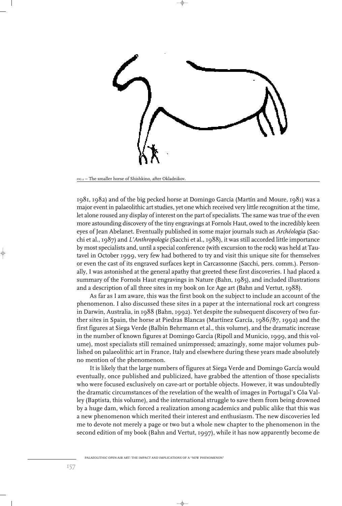

FIG.2 – The smaller horse of Shishkino, after Okladnikov.

1981, 1982) and of the big pecked horse at Domingo García (Martín and Moure, 1981) was a major event in palaeolithic art studies, yet one which received very little recognition at the time, let alone roused any display of interest on the part of specialists. The same was true of the even more astounding discovery of the tiny engravings at Fornols Haut, owed to the incredibly keen eyes of Jean Abelanet. Eventually published in some major journals such as *Archéologia* (Sacchi et al., 1987) and *L'Anthropologie* (Sacchi et al., 1988), it was still accorded little importance by most specialists and, until a special conference (with excursion to the rock) was held at Tautavel in October 1999, very few had bothered to try and visit this unique site for themselves or even the cast of its engraved surfaces kept in Carcassonne (Sacchi, pers. comm.). Personally, I was astonished at the general apathy that greeted these first discoveries. I had placed a summary of the Fornols Haut engravings in Nature (Bahn, 1985), and included illustrations and a description of all three sites in my book on Ice Age art (Bahn and Vertut, 1988).

As far as I am aware, this was the first book on the subject to include an account of the phenomenon. I also discussed these sites in a paper at the international rock art congress in Darwin, Australia, in 1988 (Bahn, 1992). Yet despite the subsequent discovery of two further sites in Spain, the horse at Piedras Blancas (Martínez García, 1986/87, 1992) and the first figures at Siega Verde (Balbín Behrmann et al., this volume), and the dramatic increase in the number of known figures at Domingo García (Ripoll and Municio, 1999, and this volume), most specialists still remained unimpressed; amazingly, some major volumes published on palaeolithic art in France, Italy and elsewhere during these years made absolutely no mention of the phenomenon.

It is likely that the large numbers of figures at Siega Verde and Domingo García would eventually, once published and publicized, have grabbed the attention of those specialists who were focused exclusively on cave-art or portable objects. However, it was undoubtedly the dramatic circumstances of the revelation of the wealth of images in Portugal's Côa Valley (Baptista, this volume), and the international struggle to save them from being drowned by a huge dam, which forced a realization among academics and public alike that this was a new phenomenon which merited their interest and enthusiasm. The new discoveries led me to devote not merely a page or two but a whole new chapter to the phenomenon in the second edition of my book (Bahn and Vertut, 1997), while it has now apparently become de

PALAEOLITHIC OPEN-AIR ART: THE IMPACT AND IMPLICATIONS OF A "NEW PHENOMENON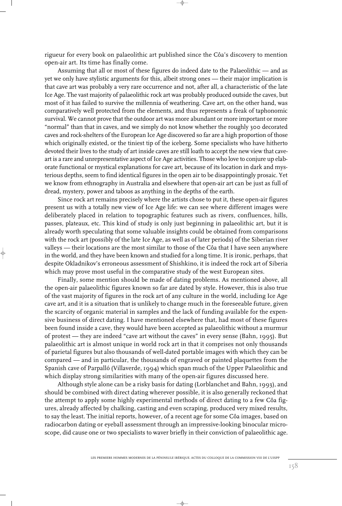rigueur for every book on palaeolithic art published since the Côa's discovery to mention open-air art. Its time has finally come.

Assuming that all or most of these figures do indeed date to the Palaeolithic — and as yet we only have stylistic arguments for this, albeit strong ones — their major implication is that cave art was probably a very rare occurrence and not, after all, a characteristic of the late Ice Age. The vast majority of palaeolithic rock art was probably produced outside the caves, but most of it has failed to survive the millennia of weathering. Cave art, on the other hand, was comparatively well protected from the elements, and thus represents a freak of taphonomic survival. We cannot prove that the outdoor art was more abundant or more important or more "normal" than that in caves, and we simply do not know whether the roughly 300 decorated caves and rock-shelters of the European Ice Age discovered so far are a high proportion of those which originally existed, or the tiniest tip of the iceberg. Some specialists who have hitherto devoted their lives to the study of art inside caves are still loath to accept the new view that caveart is a rare and unrepresentative aspect of Ice Age activities. Those who love to conjure up elaborate functional or mystical explanations for cave art, because of its location in dark and mysterious depths, seem to find identical figures in the open air to be disappointingly prosaic. Yet we know from ethnography in Australia and elsewhere that open-air art can be just as full of dread, mystery, power and taboos as anything in the depths of the earth.

Since rock art remains precisely where the artists chose to put it, these open-air figures present us with a totally new view of Ice Age life: we can see where different images were deliberately placed in relation to topographic features such as rivers, confluences, hills, passes, plateaux, etc. This kind of study is only just beginning in palaeolithic art, but it is already worth speculating that some valuable insights could be obtained from comparisons with the rock art (possibly of the late Ice Age, as well as of later periods) of the Siberian river valleys — their locations are the most similar to those of the Côa that I have seen anywhere in the world, and they have been known and studied for a long time. It is ironic, perhaps, that despite Okladnikov's erroneous assessment of Shishkino, it is indeed the rock art of Siberia which may prove most useful in the comparative study of the west European sites.

Finally, some mention should be made of dating problems. As mentioned above, all the open-air palaeolithic figures known so far are dated by style. However, this is also true of the vast majority of figures in the rock art of any culture in the world, including Ice Age cave art, and it is a situation that is unlikely to change much in the foreseeable future, given the scarcity of organic material in samples and the lack of funding available for the expensive business of direct dating. I have mentioned elsewhere that, had most of these figures been found inside a cave, they would have been accepted as palaeolithic without a murmur of protest — they are indeed "cave art without the caves" in every sense (Bahn, 1995). But palaeolithic art is almost unique in world rock art in that it comprises not only thousands of parietal figures but also thousands of well-dated portable images with which they can be compared — and in particular, the thousands of engraved or painted plaquettes from the Spanish cave of Parpalló (Villaverde, 1994) which span much of the Upper Palaeolithic and which display strong similarities with many of the open-air figures discussed here.

Although style alone can be a risky basis for dating (Lorblanchet and Bahn, 1993), and should be combined with direct dating wherever possible, it is also generally reckoned that the attempt to apply some highly experimental methods of direct dating to a few Côa figures, already affected by chalking, casting and even scraping, produced very mixed results, to say the least. The initial reports, however, of a recent age for some Côa images, based on radiocarbon dating or eyeball assessment through an impressive-looking binocular microscope, did cause one or two specialists to waver briefly in their conviction of palaeolithic age.

 $\rightarrow$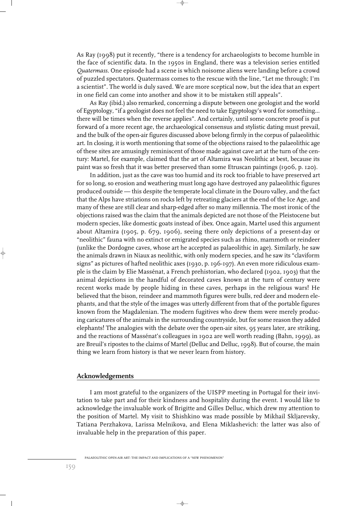As Ray (1998) put it recently, "there is a tendency for archaeologists to become humble in the face of scientific data. In the 1950s in England, there was a television series entitled *Quatermass*. One episode had a scene is which noisome aliens were landing before a crowd of puzzled spectators. Quatermass comes to the rescue with the line, "Let me through; I'm a scientist". The world is duly saved. We are more sceptical now, but the idea that an expert in one field can come into another and show it to be mistaken still appeals".

As Ray (ibid.) also remarked, concerning a dispute between one geologist and the world of Egyptology, "if a geologist does not feel the need to take Egyptology's word for something... there will be times when the reverse applies". And certainly, until some concrete proof is put forward of a more recent age, the archaeological consensus and stylistic dating must prevail, and the bulk of the open-air figures discussed above belong firmly in the corpus of palaeolithic art. In closing, it is worth mentioning that some of the objections raised to the palaeolithic age of these sites are amusingly reminiscent of those made against cave art at the turn of the century: Martel, for example, claimed that the art of Altamira was Neolithic at best, because its paint was so fresh that it was better preserved than some Etruscan paintings (1906, p. 120).

In addition, just as the cave was too humid and its rock too friable to have preserved art for so long, so erosion and weathering must long ago have destroyed any palaeolithic figures produced outside — this despite the temperate local climate in the Douro valley, and the fact that the Alps have striations on rocks left by retreating glaciers at the end of the Ice Age, and many of these are still clear and sharp-edged after so many millennia. The most ironic of the objections raised was the claim that the animals depicted are not those of the Pleistocene but modern species, like domestic goats instead of ibex. Once again, Martel used this argument about Altamira (1905, p. 679, 1906), seeing there only depictions of a present-day or "neolithic" fauna with no extinct or emigrated species such as rhino, mammoth or reindeer (unlike the Dordogne caves, whose art he accepted as palaeolithic in age). Similarly, he saw the animals drawn in Niaux as neolithic, with only modern species, and he saw its "claviform signs" as pictures of hafted neolithic axes (1930, p. 196-197). An even more ridiculous example is the claim by Elie Massénat, a French prehistorian, who declared (1902, 1903) that the animal depictions in the handful of decorated caves known at the turn of century were recent works made by people hiding in these caves, perhaps in the religious wars! He believed that the bison, reindeer and mammoth figures were bulls, red deer and modern elephants, and that the style of the images was utterly different from that of the portable figures known from the Magdalenian. The modern fugitives who drew them were merely producing caricatures of the animals in the surrounding countryside, but for some reason they added elephants! The analogies with the debate over the open-air sites, 95 years later, are striking, and the reactions of Massénat's colleagues in 1902 are well worth reading (Bahn, 1999), as are Breuil's ripostes to the claims of Martel (Delluc and Delluc, 1998). But of course, the main thing we learn from history is that we never learn from history.

## **Acknowledgements**

I am most grateful to the organizers of the UISPP meeting in Portugal for their invitation to take part and for their kindness and hospitality during the event. I would like to acknowledge the invaluable work of Brigitte and Gilles Delluc, which drew my attention to the position of Martel. My visit to Shishkino was made possible by Mikhail Skljarevsky, Tatiana Perzhakova, Larissa Melnikova, and Elena Miklashevich: the latter was also of invaluable help in the preparation of this paper.

</u>

PALAEOLITHIC OPEN-AIR ART: THE IMPACT AND IMPLICATIONS OF A "NEW PHENOMENON